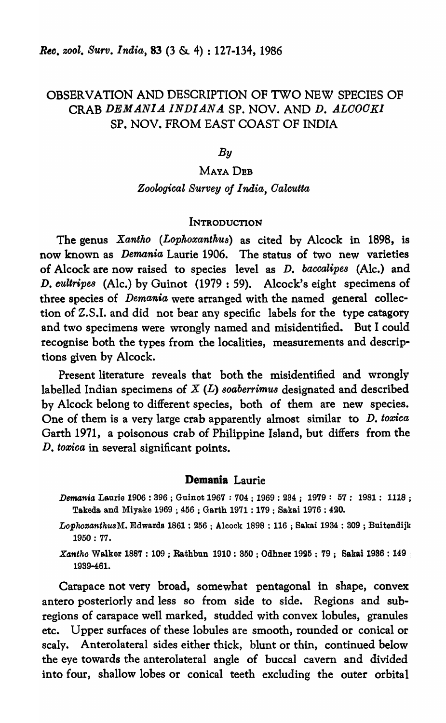# OBSERVATION AND DESCRIPTION OF TWO NEW SPECIES OF CRAB *DEMANIA INDIANA* SP. NOV. AND D. *ALOOGKI*  SP. NOV. FROM EAST COAST OF INDIA

### *By*

## MAYA DEB

# *Zoological Survey of I naia, Oalcutta*

#### **INTRODUCTION**

The genus *Xantko (Lophoxanthu8)* as cited by Alcock in 1898, is now known as *Demania* Laurie 1906. The status of two new varieties of Alcock are now raised to species level as *D. baccalipes* (Alc.) and D. *cultripes* (Ale.) by Guinot (1979: 59). Alcock's eight specimens of three species of *Demania* were arranged with the named general collection of Z.S.I. and did not bear any specific labels for the type catagory and two specimens were wrongly named and misidentified. But I could recognise both the types from the localities, measurements and descriptions given by Alcock.

Present literature reveals that both the misidentified and wrongly labelled Indian specimens of X (L) *80aberrimus* designated and described by Alcock belong to different species, both of them are new species. One of them is a very large crab apparently almost similar to *D. toxica* Garth 1971, a poisonous crab of Philippine Island, but differs from the D. *toxica* in several significant points.

#### Demania Laurie

- Demania Laurie 1906 : 396 ; Guinot 1967 : 704 ; 1969 : 234 ; 1979 : 57 : 1981 : 1118 ; Takeda and Miyake 1969 ; 456 ; Garth 1971 : 179 ; Sakai 1976 : 420.
- $LophoxanthusM. Edwards 1861 : 256$ ; Alcock 1898 : 116; Sakai 1934 : 309; Buitendijk 1950 : 77.

 $Xantho$  Walker 1887 : 109; Rathbun 1910 : 350; Odhner 1925; 79; Sakai 1936 : 149; 1989-461.

Carapace not very broad, somewhat pentagonal in shape, convex antero posteriorly and less so from side to side. Regions and subregions of carapace well marked, studded with convex lobules, granules etc. Upper surfaces of these lobules are smooth, rounded or conical or scaly. Anterolateral sides either thick, blunt or thin, continued below the eye towards the anterolateral angle of buccal cavern and divided into four, shallow lobes or conical teeth excluding the outer orbital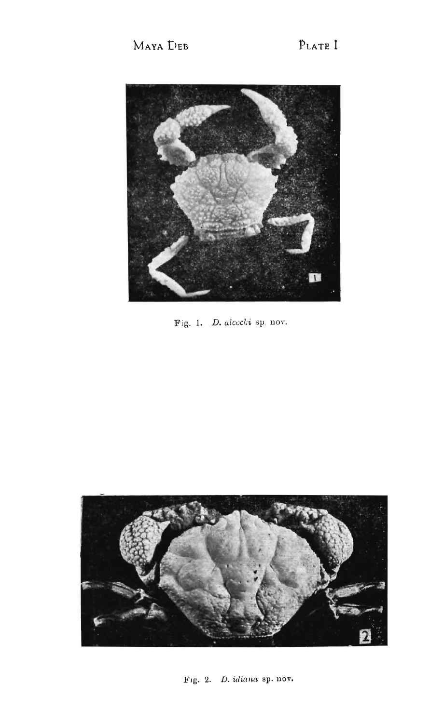

Fig. 1. D. alcocki sp. nov.



Fig. 2. D. idiana sp. nov.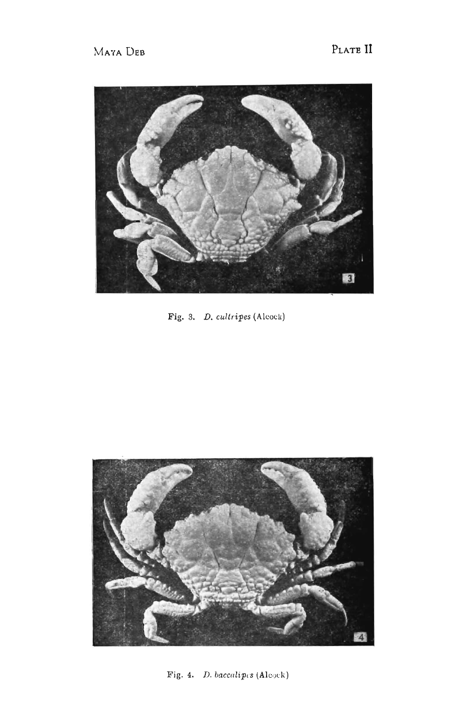

Fig. 3. D. cultripes (Alcock)



Fig. 4. D. baccalipes (Alcock)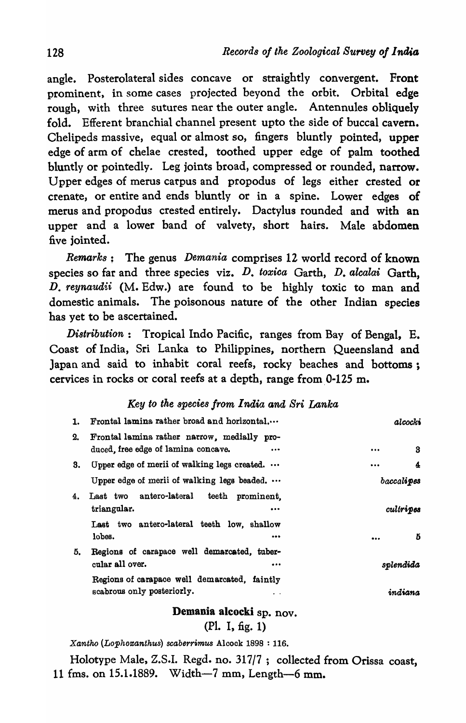angle. Posterolateral sides concave or straightly convergent. Front prominent, in some cases projected beyond the orbit. Orbital edge rough, with three sutures near the outer angle. Antennules obliquely fold. Efferent branchial channel present upto the side of buccal cavern. Chelipeds massive, equal or almost so, fingers bluntly pointed, upper edge of arm of chelae crested, toothed upper edge of palm toothed bluntly or pointedly. Leg joints broad, compressed or rounded, narrow. Upper edges of merus carpus and propodus of legs either crested or crenate, or entire and ends bluntly or in a spine. Lower edges of merus and propodus crested entirely. Dactylus rounded and with an upper and a lower band of valvety, short hairs. Male abdomen five jointed.

*Remarks;* The genus *Demania* comprises 12 world record of known species so far and three species viz. D. *toxica* Garth, D. *alcalai* Garth, D. *reynaudii* (M. Edw.) are found to be highly toxic to man and domestic animals. The poisonous nature of the other Indian species has yet to be ascertained.

*Distribution:* Tropical Indo Pacific, ranges from Bay of Bengal, E. Coast of India, Sri Lanka to Philippines, northern Queensland and Japan and said to inhabit coral reefs, rocky beaches and bottoms; cervices in rocks or coral reefs at a depth, range from 0-125 m.

## *Key to the species from India and Sri Lanka*

| 1. | Frontal lamina rather broad and horizontal                                                                    | alcocki       |
|----|---------------------------------------------------------------------------------------------------------------|---------------|
| 2. | Frontal lamina rather narrow, medially pro-<br>duced, free edge of lamina concave.<br>$\bullet\bullet\bullet$ | 3<br>         |
| 3. | Upper edge of merii of walking legs created.                                                                  | 4<br>$\cdots$ |
|    | Upper edge of merii of walking legs beaded.                                                                   | baccalipes    |
| 4. | Last two antero-lateral teeth<br>prominent.<br>triangular.<br>$\bullet\bullet\bullet$                         | cultripes     |
|    | Last two antero-lateral teeth low, shallow<br>lobes.<br>                                                      | Б<br>         |
| 5. | Regions of carapace well demarcated, tuber-<br>cular all over.<br>                                            | splendida     |
|    | Regions of carapace well demarcated, faintly<br>scabrous only posteriorly.<br>$\cdot$ $\cdot$                 | indiana       |

Demania alcocki sp. nov.

(PI. I, fig. 1)

*Xantho (Lophoroanthus) scaberrimus* Alcock 1898 : 116.

Holotype Male, Z.S.I. Regd. no. 317/7; collected from Orissa coast, 11 fms. on 15.1.1889. Width-7 mm, Length-6 mm.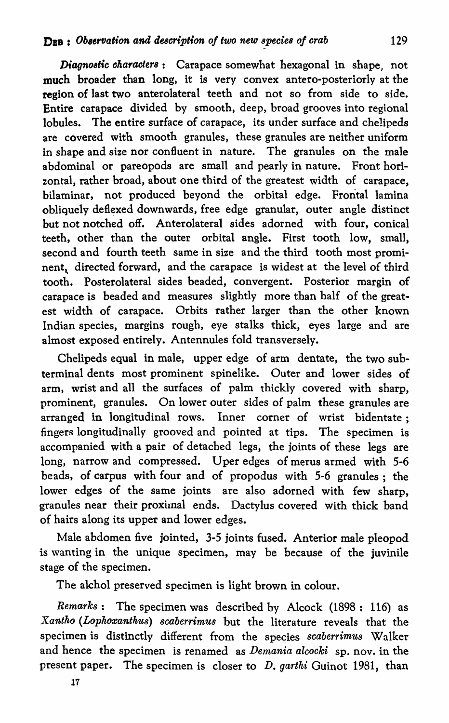*Diagnostic characters*: Carapace somewhat hexagonal in shape, not much broader than long, it is very convex antero-posteriorly at the region of last two anterolateral teeth and not so from side to side. Entire carapace divided by smooth, deep, broad grooves into regional lobules. The entire surface of carapace, its under surface and chelipeds are covered with smooth granules, these granules are neither uniform in shape and size nor confluent in nature. The granules on the male abdominal or pareopods are small and pearly in nature. Front horizontal, rather broad, about one third of the greatest width of carapace, bilaminar, not produced beyond the orbital edge. Frontal lamina obliquely deflexed downwards, free edge granular, outer angle distinct but not notched off. Anterolateral sides adorned with four, conical teeth, other than the outer orbital angle. First tooth low, small, second and fourth teeth same in size and the third tooth most prominent, directed forward, and the carapace is widest at the level of third tooth. Posterolateral sides beaded, convergent. Posterior margin of carapace is beaded and measures slightly more than half of the greatest width of carapace. Orbits rather larger than the other known Indian species, margins rough, eye stalks thick, eyes large and are almost exposed entirely. Antennules fold transversely.

Chelipeds equal in male, upper edge of arm dentate, the two subterminal dents most prominent spinelike. Outer and lower sides of arm, wrist and all the surfaces of palm thickly covered with sharp, prominent, granules. On lower outer sides of palm these granules are arranged in longitudinal rows. Inner corner of wrist bidentate; fingers longitudinally grooved and pointed at tips. The specimen is accompanied with a pair of detached legs, the joints of these legs are long, narrow and compressed. Uper edges of merus armed with 5-6 beads, of carpus with four and of propodus with 5-6 granules; the lower edges of the same joints are also adorned with few sharp, granules near their proximal ends. Dactylus covered with thick band of hairs along its upper and lower edges.

Male abdomen five jointed, 3-5 joints fused. Anterior male pleopod is wanting in the unique specimen, may be because of the juvinile stage of the specimen.

The akhol preserved specimen is light brown in colour.

*Remarks:* The specimen was described by Alcock (1898: 116) as *Xantho (Lophoxantkus) 8caberrimus* but the literature reveals that the specimen is distinctly different from the species *scaberrimus* Walker and hence the specimen is renamed as *Demania alcocki* sp. nov. in the present paper. The specimen is closer to *D. garthi* Guinot 1981, than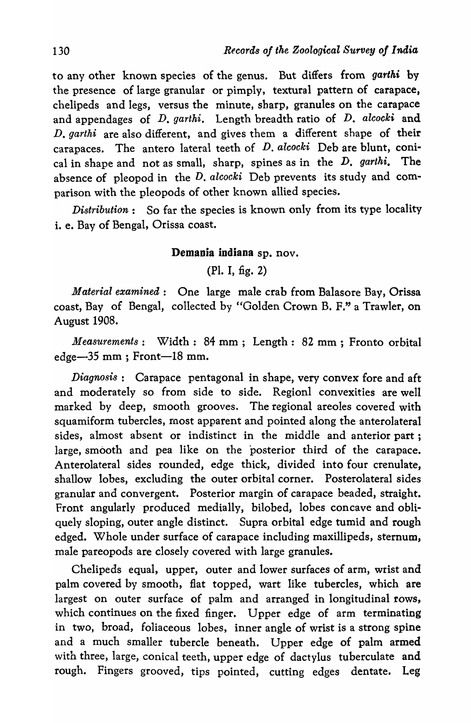to any other known species of the genus. But differs from *garthi* by the presence of large granular or pimply, textural pattern of carapace, chelipeds and legs, versus the minute, sharp, granules on the carapace and appendages of *D. garthi.* Length breadth ratio of *D. alcocki* and *D. garthi* are also different, and gives them a different shape of their carapaces. The antero lateral teeth of D. *alcocki* Deb are blunt, conical in shape and not as small, sharp, spines as in the D. *garthi.* The absence of pleopod in the D. *alcocki* Deb prevents its study and comparison with the pleopods of other known allied species.

*Distribution:* So far the species is known only from its type locality i. e. Bay of Bengal, Orissa coast.

### Demania indiana sp. nov.

(PI. I, fig. 2)

*Material examined:* One large male crab from Balasore Bay, Orissa coast, Bay of Bengal, collected by "Golden Crown B. F." a Trawler, on August 1908.

*Measurements:* Width: 84 mm; Length: 82 mm ; Fronto orbital edge-35 mm; Front-18 mm.

*Diagnosis:* Carapace pentagonal in shape, very convex fore and aft and moderately so from side to side. Regionl convexities are well marked by deep, smooth grooves. The regional areoles covered with squamiform tubercles, roost apparent and pointed along the anterolateral sides, almost absent or indistinct in the middle and anterior part; large, smooth and pea like on the posterior third of the carapace. Anterolateral sides rounded, edge thick, divided into four crenulate, shallow lobes, excluding the outer orbital corner. Posterolateral sides granular and convergent. Posterior margin of carapace beaded, straight. Front angularly produced medially, bilobed, lobes concave and obliquely sloping, outer angle distinct. Supra orbital edge tumid and rough edged. Whole under surface of carapace including maxillipeds, sternum, male pareopods are closely covered with large granules.

Chelipeds equal, upper, outer and lower surfaces of arm, wrist and palm covered by smooth, flat topped, wart like tubercles, which are largest on outer surface of palm and arranged in longitudinal rows, which continues on the fixed finger. Upper edge of arm terminating in two, broad, foliaceous lobes, inner angle of wrist is a strong spine and a much smaller tubercle beneath. Upper edge of palm armed with three, large, conical teeth, upper edge of dactylus tuberculate and rough. Fingers grooved, tips pointed, cutting edges dentate. Leg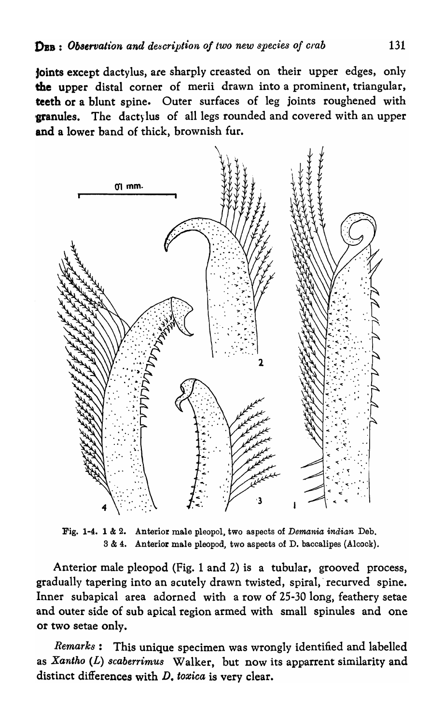joints except dactylus, are sharply creasted on their upper edges, only the upper distal corner of merii drawn into a prominent, triangular, teeth or a blunt spine. Outer surfaces of leg joints roughened with **granules.** The dactylus of all legs rounded and covered with an upper and a lower band of thick, brownish fur.



Fig. 1-4. 1 & 2. Anterior male pleopol, two aspects of *Demania indian* Deb. S & 4. Anterior male pleopod, two aspects of D. baccalipes (Alcock).

Anterior male pleopod (Fig. 1 and 2) is a tubular, grooved process, gradually tapering into an acutely drawn twisted, spiral,' recurved spine. Inner subapical area adorned with a row of 25-30 long, feathery setae and outer side of sub apical region armed with small spinules and one or two setae only.

*Remarks:* This unique specimen was wrongly identified and labelled as *Xantho* (L) *8caberrimus* Walker, but now its apparrent similarity and distinct differences with  $D$ , toxica is very clear.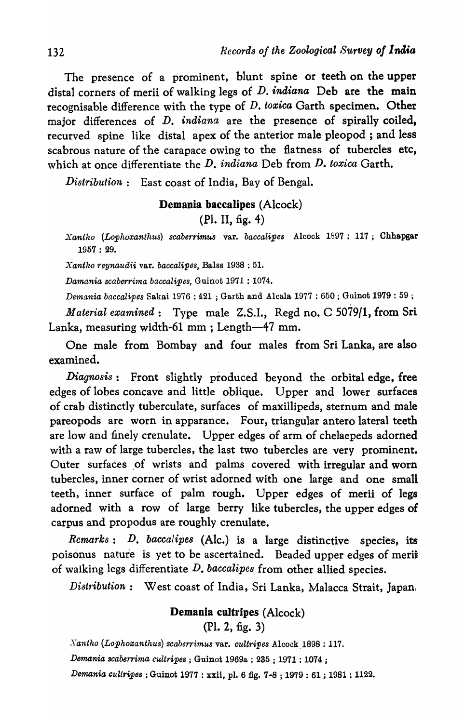The presence of a prominent, blunt spine or teeth on the upper distal corners of merii of walking legs of  $D$ . *indiana* Deb are the main recognisable difference with the type of *D. toxica* Garth specimen. Other major differences of D. *indiana* are the presence of spirally coiled, recurved spine like distal apex of the anterior male pleopod ; and less scabrous nature of the carapace owing to the flatness of tubercles etc, which at once differentiate the D. *indiana* Deb from D. *toxica* Garth.

*Distribution:* East coast of India, Bay of Bengal.

## Demania baccalipes (Alcock)

(Pl. II, fig. 4)

*Xantho (Lophoxanthus) scaberrimus* var. *baccalipes* Alcock 1697: 117; Chhapga.r 1957 : 29.

*Xantho reynaudii* var. *baccalipes,* Balss 1938 : 51.

*Damania scaberrima baccalipes, Guinot 1971 : 1074.* 

*De1nania baccalipes* Sakai 1976 : 421 ; Garth and Alcala 1977 : 650 ; Guinot 1979 : 59 ;

*Material examined:* Type male Z.S.1., Regd no. C 5079/1, from Sri Lanka, measuring width-61 mm ; Length-47 mm.

One male from Bombay and four males from Sri Lanka, are also examined.

*Diagnosis:* Front slightly produced beyond the orbital edge, free edges of lobes concave and little oblique. Upper and lower surfaces of crab distinctly tuberculate, surfaces of maxillipeds, sternum and male pareopods are worn in apparance. Four, triangular antero lateral teeth are low and finely crenulate. Upper edges of arm of chelaepeds adorned with a raw of large tubercles, the last two tubercles are very prominent. Outer surfaces of wrists and palms covered with irregular and worn tubercles, inner corner of wrist adorned with one large and one small teeth, inner surface of palm rough. Upper edges of merii of legs adorned with a row of large berry like tubercles, the upper edges of carpus and propodus are roughly crenulate.

*Remarks:* D. *baccalipes* (Ale.) is a large distinctive species, its poisonus nature is yet to be ascertained. Beaded upper edges of merii of walking legs differentiate *D. baccalipes* from other allied species.

*Distribution*: West coast of India, Sri Lanka, Malacca Strait, Japan.

# Demania cultripes (Alcock)

(Pl. 2, fig. 3)

 $Nantho (Lophoxanthus) scaberrimus$  var. *cultripes* Alcock 1898 : 117.

*Demania scaberrima cultripes* ; Guinot 196981 : 285 ; 1971 : 1074 ;

*Demania cuZiripes* : Guinot 1977 : xxii, pl. 6 fig. 7-8 ; 1979 : 61 *i* 1981 : 1122.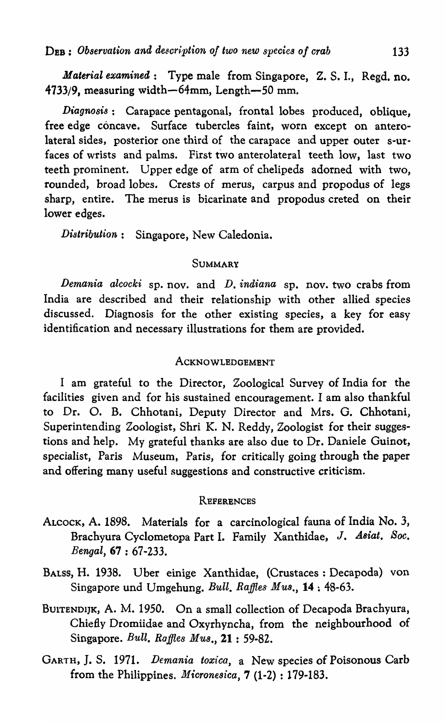*Material examined*: Type male from Singapore, Z. S. I., Regd. no. 4733/9, measuring width-64mm, Length-50 mm.

*Diagnosis:* Carapace pentagonal, frontal lobes produced, oblique, free edge concave. Surface tubercles faint, worn except on anterolateral sides, posterior one third of the carapace and upper outer s-urfaces of wrists and palms. First two anterolateral teeth low, last two teeth prominent. Upper edge of arm of chelipeds adorned with two, rounded, broad lobes. Crests of merus, carpus and propodus of legs sharp, entire. The merus is bicarinate and propodus creted on their lower edges.

*Distribution:* Singapore, New Caledonia.

#### SUMMARY

*Demania alcocki* sp. nov. and *D. indiana* sp. nov. two crabs from India are described and their relationship with other allied species discussed. Diagnosis for the other existing species, a key for easy identification and necessary illustrations for them are provided.

#### ACKNOWLEDGEMENT

I am grateful to the Director, Zoological Survey of India for the facilities given and for his sustained encouragement. I am also thankful to Dr. O. B. Chhotani, Deputy Director and Mrs. O. Chhotani, Superintending Zoologist, Shri K. N. Reddy, Zoologist for their suggestions and help. My grateful thanks are also due to Dr. Daniele Guinot, specialist, Paris Museum, Paris, for critically going through the paper and offering many useful suggestions and constructive criticism.

#### **REFERENCES**

- ALCOCK, A. 1898. Materials for a carcinological fauna of India No. 3, Brachyura Cyclometopa Part I. Family Xanthidae, J. *Asiat. Soc. Bengal,* 67 : 67-233.
- BALSS, H. 1938. Uber einige Xanthidae, (Crustaces: Decapoda) von Singapore und Umgehung. *Bull. Raffles Mus.*, 14: 48-63.
- BUITENDIJK, A. M. 1950. On a small collection of Decapoda Brachyura, Chiefly Dromiidae and Oxyrhyncha, from the neighbourhood of Singapore. *Bull. Raffles Mus.,* 21 : 59·82.
- GARTH, J. S. 1971. *Demania toxica*, a New species of Poisonous Carb from the Philippines. *Micronesica,* 7 (1-2) : 179·183.